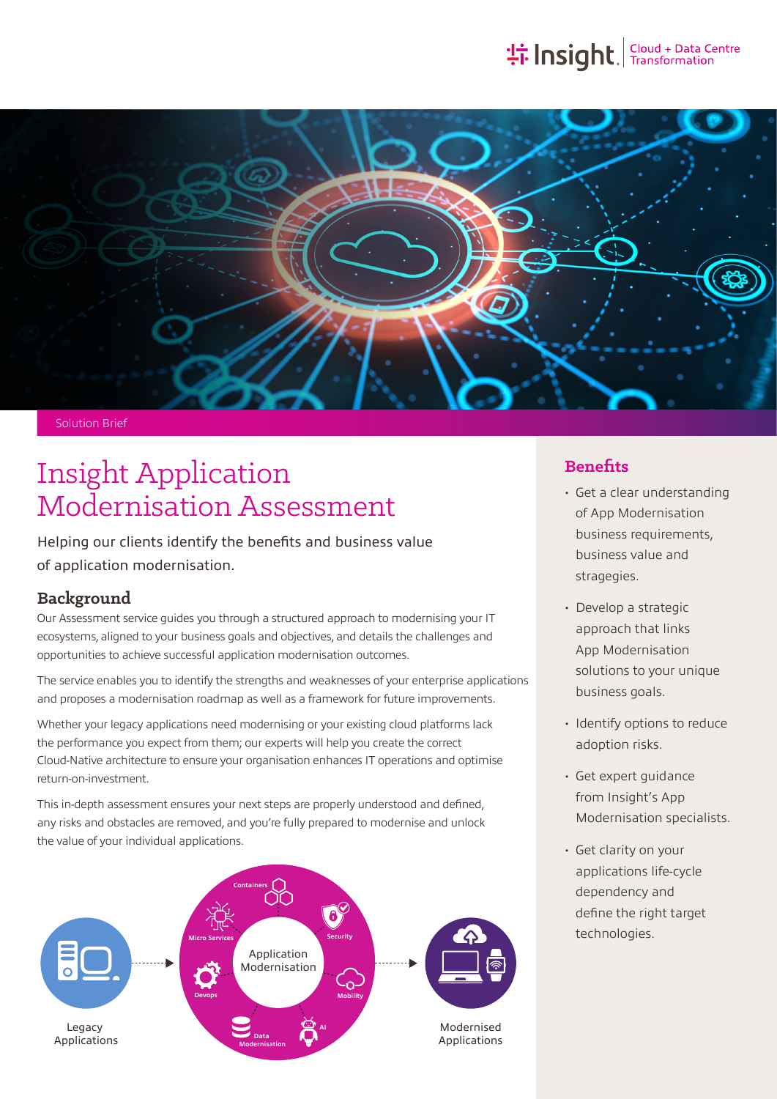

Solution Brief

# Insight Application Modernisation Assessment

Helping our clients identify the benefits and business value of application modernisation.

#### **Background**

Our Assessment service guides you through a structured approach to modernising your IT ecosystems, aligned to your business goals and objectives, and details the challenges and opportunities to achieve successful application modernisation outcomes.

The service enables you to identify the strengths and weaknesses of your enterprise applications and proposes a modernisation roadmap as well as a framework for future improvements.

Whether your legacy applications need modernising or your existing cloud platforms lack the performance you expect from them; our experts will help you create the correct Cloud-Native architecture to ensure your organisation enhances IT operations and optimise return-on-investment.

This in-depth assessment ensures your next steps are properly understood and defined, any risks and obstacles are removed, and you're fully prepared to modernise and unlock the value of your individual applications.



## **Benefits**

- Get a clear understanding of App Modernisation business requirements, business value and stragegies.
- Develop a strategic approach that links App Modernisation solutions to your unique business goals.
- Identify options to reduce adoption risks.
- Get expert guidance from Insight's App Modernisation specialists.
- Get clarity on your applications life-cycle dependency and define the right target technologies.